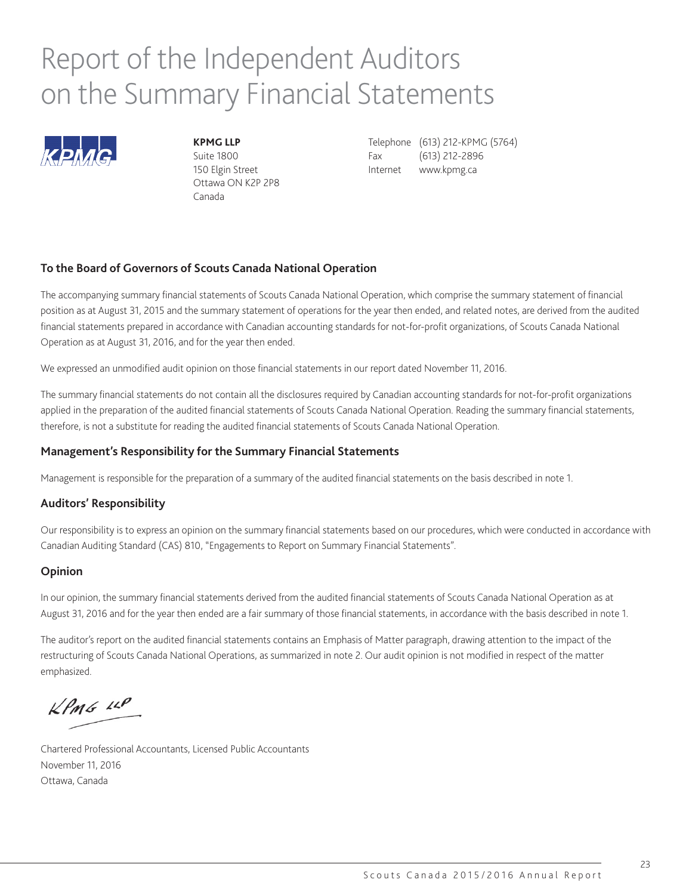## Report of the Independent Auditors on the Summary Financial Statements



Ottawa ON K2P 2P8 Canada

**KPMG LLP** Telephone (613) 212-KPMG (5764) Suite 1800 **Fax** (613) 212-2896 150 Elgin Street **Internet** www.kpmg.ca

### **To the Board of Governors of Scouts Canada National Operation**

The accompanying summary financial statements of Scouts Canada National Operation, which comprise the summary statement of financial position as at August 31, 2015 and the summary statement of operations for the year then ended, and related notes, are derived from the audited financial statements prepared in accordance with Canadian accounting standards for not-for-profit organizations, of Scouts Canada National Operation as at August 31, 2016, and for the year then ended.

We expressed an unmodified audit opinion on those financial statements in our report dated November 11, 2016.

The summary financial statements do not contain all the disclosures required by Canadian accounting standards for not-for-profit organizations applied in the preparation of the audited financial statements of Scouts Canada National Operation. Reading the summary financial statements, therefore, is not a substitute for reading the audited financial statements of Scouts Canada National Operation.

#### **Management's Responsibility for the Summary Financial Statements**

Management is responsible for the preparation of a summary of the audited financial statements on the basis described in note 1.

#### **Auditors' Responsibility**

Our responsibility is to express an opinion on the summary financial statements based on our procedures, which were conducted in accordance with Canadian Auditing Standard (CAS) 810, "Engagements to Report on Summary Financial Statements".

### **Opinion**

In our opinion, the summary financial statements derived from the audited financial statements of Scouts Canada National Operation as at August 31, 2016 and for the year then ended are a fair summary of those financial statements, in accordance with the basis described in note 1.

The auditor's report on the audited financial statements contains an Emphasis of Matter paragraph, drawing attention to the impact of the restructuring of Scouts Canada National Operations, as summarized in note 2. Our audit opinion is not modified in respect of the matter emphasized.

 $KPMG$  14P

Chartered Professional Accountants, Licensed Public Accountants November 11, 2016 Ottawa, Canada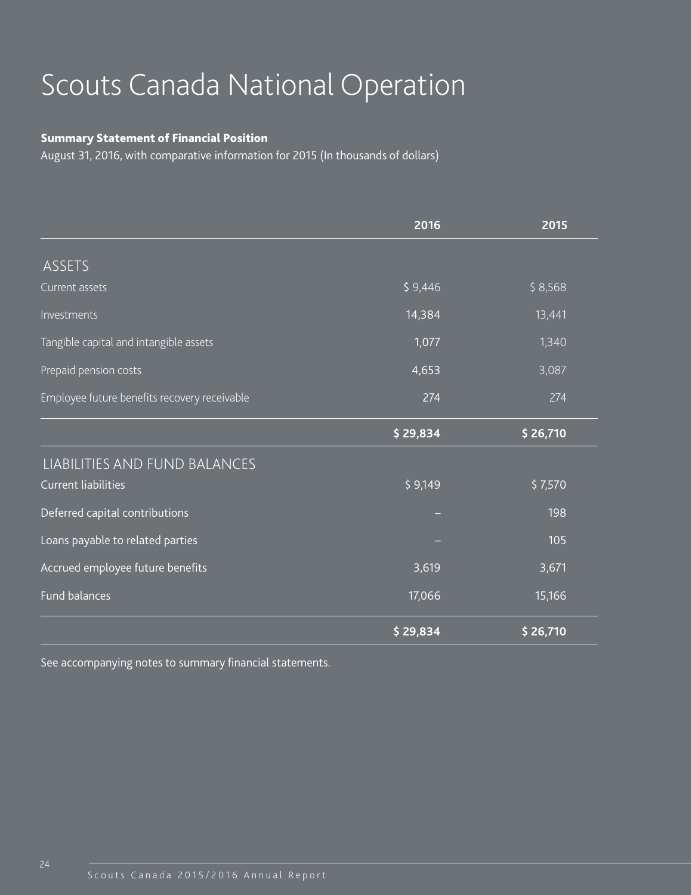## Scouts Canada National Operation

## Summary Statement of Financial Position

August 31, 2016, with comparative information for 2015 (In thousands of dollars)

|                                              | 2016     | 2015     |
|----------------------------------------------|----------|----------|
| ASSETS                                       |          |          |
| Current assets                               | \$9,446  | \$8,568  |
| Investments                                  | 14,384   | 13,441   |
| Tangible capital and intangible assets       | 1,077    | 1,340    |
| Prepaid pension costs                        | 4,653    | 3,087    |
| Employee future benefits recovery receivable | 274      | 274      |
|                                              | \$29,834 | \$26,710 |
| LIABILITIES AND FUND BALANCES                |          |          |
| <b>Current liabilities</b>                   | \$9,149  | \$7,570  |
| Deferred capital contributions               |          | 198      |
| Loans payable to related parties             |          | 105      |
| Accrued employee future benefits             | 3,619    | 3,671    |
| Fund balances                                | 17,066   | 15,166   |
|                                              | \$29,834 | \$26,710 |

See accompanying notes to summary financial statements.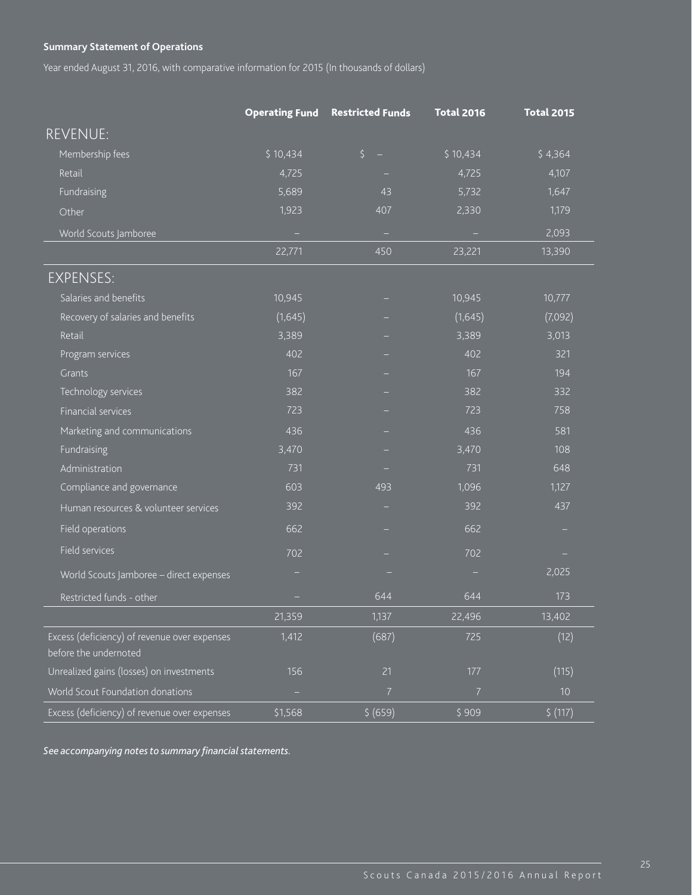## **Summary Statement of Operations**

Year ended August 31, 2016, with comparative information for 2015 (In thousands of dollars)

|                                                                       | <b>Operating Fund</b> | <b>Restricted Funds</b> | <b>Total 2016</b> | <b>Total 2015</b> |
|-----------------------------------------------------------------------|-----------------------|-------------------------|-------------------|-------------------|
| <b>REVENUE:</b>                                                       |                       |                         |                   |                   |
| Membership fees                                                       | \$10,434              | $\zeta$                 | \$10,434          | \$4,364           |
| Retail                                                                | 4,725                 |                         | 4,725             | 4,107             |
| Fundraising                                                           | 5,689                 | 43                      | 5,732             | 1,647             |
| Other                                                                 | 1,923                 | 407                     | 2,330             | 1,179             |
| World Scouts Jamboree                                                 |                       | ٠                       |                   | 2,093             |
|                                                                       | 22,771                | 450                     | 23,221            | 13,390            |
| <b>EXPENSES:</b>                                                      |                       |                         |                   |                   |
| Salaries and benefits                                                 | 10,945                | -                       | 10,945            | 10,777            |
| Recovery of salaries and benefits                                     | (1,645)               |                         | (1,645)           | (7,092)           |
| Retail                                                                | 3,389                 |                         | 3,389             | 3,013             |
| Program services                                                      | 402                   |                         | 402               | 321               |
| Grants                                                                | 167                   |                         | 167               | 194               |
| Technology services                                                   | 382                   |                         | 382               | 332               |
| <b>Financial services</b>                                             | 723                   |                         | 723               | 758               |
| Marketing and communications                                          | 436                   |                         | 436               | 581               |
| Fundraising                                                           | 3,470                 |                         | 3,470             | 108               |
| Administration                                                        | 731                   |                         | 731               | 648               |
| Compliance and governance                                             | 603                   | 493                     | 1,096             | 1,127             |
| Human resources & volunteer services                                  | 392                   |                         | 392               | 437               |
| Field operations                                                      | 662                   |                         | 662               |                   |
| Field services                                                        | 702                   |                         | 702               |                   |
| World Scouts Jamboree - direct expenses                               |                       |                         |                   | 2,025             |
| Restricted funds - other                                              | -                     | 644                     | 644               | 173               |
|                                                                       | 21,359                | 1,137                   | 22,496            | 13,402            |
| Excess (deficiency) of revenue over expenses<br>before the undernoted | 1,412                 | (687)                   | 725               | (12)              |
| Unrealized gains (losses) on investments                              | 156                   | 21                      | $177$             | (115)             |
| World Scout Foundation donations                                      |                       | $\overline{7}$          | $\overline{7}$    | $10$              |
| Excess (deficiency) of revenue over expenses                          | \$1,568               | \$ (659)                | \$909             | \$ (117)          |

*See accompanying notes to summary financial statements.*